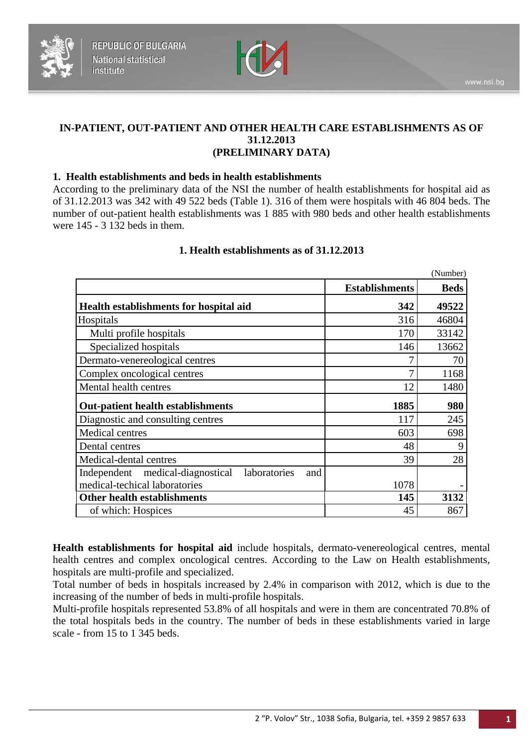



# **IN-PATIENT, OUT-PATIENT AND OTHER HEALTH CARE ESTABLISHMENTS AS OF 31.12.2013 (PRELIMINARY DATA)**

## **1. Health establishments and beds in health establishments**

According to the preliminary data of the NSI the number of health establishments for hospital aid as of 31.12.2013 was 342 with 49 522 beds (Table 1). 316 of them were hospitals with 46 804 beds. The number of out-patient health establishments was 1 885 with 980 beds and other health establishments were 145 - 3 132 beds in them.

|                                                         |                       | (Number)    |
|---------------------------------------------------------|-----------------------|-------------|
|                                                         | <b>Establishments</b> | <b>Beds</b> |
| <b>Health establishments for hospital aid</b>           | 342                   | 49522       |
| Hospitals                                               | 316                   | 46804       |
| Multi profile hospitals                                 | 170                   | 33142       |
| Specialized hospitals                                   | 146                   | 13662       |
| Dermato-venereological centres                          |                       | 70          |
| Complex oncological centres                             | 7                     | 1168        |
| Mental health centres                                   | 12                    | 1480        |
| <b>Out-patient health establishments</b>                | 1885                  | 980         |
| Diagnostic and consulting centres                       | 117                   | 245         |
| Medical centres                                         | 603                   | 698         |
| Dental centres                                          | 48                    | 9           |
| Medical-dental centres                                  | 39                    | 28          |
| Independent medical-diagnostical<br>laboratories<br>and |                       |             |
| medical-techical laboratories                           | 1078                  |             |
| Other health establishments                             | 145                   | 3132        |
| of which: Hospices                                      | 45                    | 867         |

#### **1. Health establishments as of 31.12.2013**

**Health establishments for hospital aid** include hospitals, dermato-venereological centres, mental health centres and complex oncological centres. According to the Law on Health establishments, hospitals are multi-profile and specialized.

Total number of beds in hospitals increased by 2.4% in comparison with 2012, which is due to the increasing of the number of beds in multi-profile hospitals.

Multi-profile hospitals represented 53.8% of all hospitals and were in them are concentrated 70.8% of the total hospitals beds in the country. The number of beds in these establishments varied in large scale - from 15 to 1 345 beds.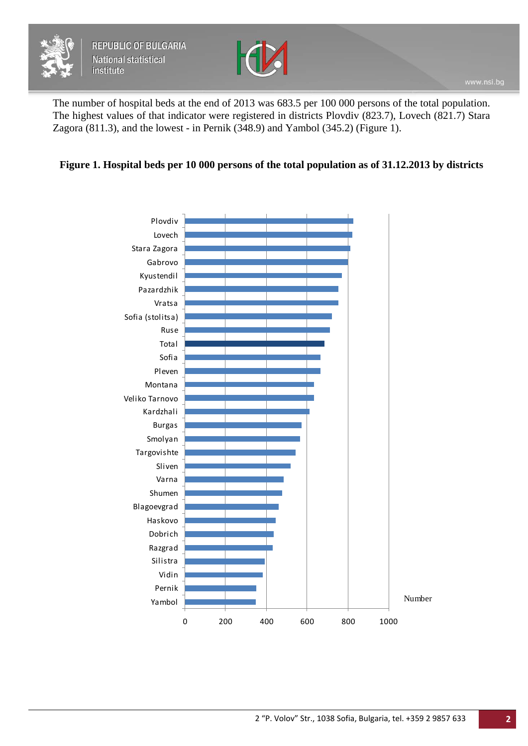



The number of hospital beds at the end of 2013 was 683.5 per 100 000 persons of the total population. The highest values of that indicator were registered in districts Plovdiv (823.7), Lovech (821.7) Stara Zagora (811.3), and the lowest - in Pernik (348.9) and Yambol (345.2) (Figure 1).

# **Figure 1. Hospital beds per 10 000 persons of the total population as of 31.12.2013 by districts**

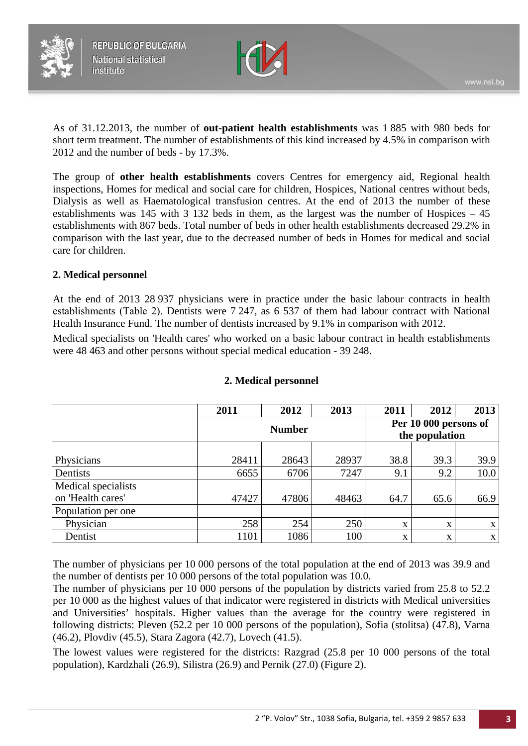



As of 31.12.2013, the number of **out-patient health establishments** was 1 885 with 980 beds for short term treatment. The number of establishments of this kind increased by 4.5% in comparison with 2012 and the number of beds - by 17.3%.

The group of **other health establishments** covers Centres for emergency aid, Regional health inspections, Homes for medical and social care for children, Hospices, National centres without beds, Dialysis as well as Haematological transfusion centres. At the end of 2013 the number of these establishments was 145 with 3 132 beds in them, as the largest was the number of Hospices – 45 establishments with 867 beds. Total number of beds in other health establishments decreased 29.2% in comparison with the last year, due to the decreased number of beds in Homes for medical and social care for children.

# **2. Medical personnel**

At the end of 2013 28 937 physicians were in practice under the basic labour contracts in health establishments (Таble 2). Dentists were 7 247, as 6 537 of them had labour contract with National Health Insurance Fund. The number of dentists increased by 9.1% in comparison with 2012.

Medical specialists on 'Health cares' who worked on a basic labour contract in health establishments were 48 463 and other persons without special medical education - 39 248.

|                     | 2011          | 2012  | 2013  | 2011                                    | 2012 | 2013        |
|---------------------|---------------|-------|-------|-----------------------------------------|------|-------------|
|                     | <b>Number</b> |       |       | Per 10 000 persons of<br>the population |      |             |
|                     |               |       |       |                                         |      |             |
| Physicians          | 28411         | 28643 | 28937 | 38.8                                    | 39.3 | 39.9        |
| Dentists            | 6655          | 6706  | 7247  | 9.1                                     | 9.2  | 10.0        |
| Medical specialists |               |       |       |                                         |      |             |
| on 'Health cares'   | 47427         | 47806 | 48463 | 64.7                                    | 65.6 | 66.9        |
| Population per one  |               |       |       |                                         |      |             |
| Physician           | 258           | 254   | 250   | X                                       | X    | X           |
| Dentist             | 1101          | 1086  | 100   | X                                       | X    | $\mathbf X$ |

#### **2. Medical personnel**

The number of physicians per 10 000 persons of the total population at the end of 2013 was 39.9 and the number of dentists per 10 000 persons of the total population was 10.0.

The number of physicians per 10 000 persons of the population by districts varied from 25.8 to 52.2 per 10 000 as the highest values of that indicator were registered in districts with Medical universities and Universities' hospitals. Higher values than the average for the country were registered in following districts: Pleven (52.2 per 10 000 persons of the population), Sofia (stolitsa) (47.8), Varna (46.2), Plovdiv (45.5), Stara Zagora (42.7), Lovech (41.5).

The lowest values were registered for the districts: Razgrad (25.8 per 10 000 persons of the total population), Kardzhali (26.9), Silistra (26.9) and Pernik (27.0) (Figure 2).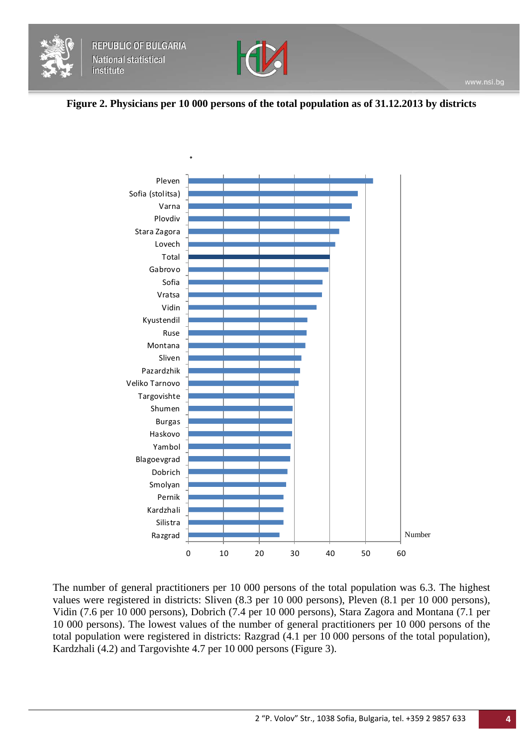



## **Figure 2. Physicians per 10 000 persons of the total population as of 31.12.2013 by districts**



The number of general practitioners per 10 000 persons of the total population was 6.3. The highest values were registered in districts: Sliven (8.3 per 10 000 persons), Pleven (8.1 per 10 000 persons), Vidin (7.6 per 10 000 persons), Dobrich (7.4 per 10 000 persons), Stara Zagora and Montana (7.1 per 10 000 persons). The lowest values of the number of general practitioners per 10 000 persons of the total population were registered in districts: Razgrad (4.1 per 10 000 persons of the total population), Kardzhali (4.2) and Targovishte 4.7 per 10 000 persons (Figure 3).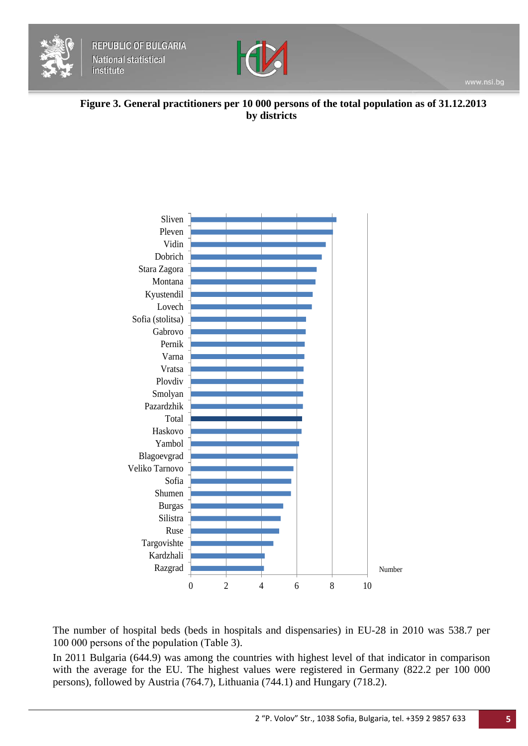



**Figure 3. General practitioners per 10 000 persons of the total population as of 31.12.2013 by districts**



The number of hospital beds (beds in hospitals and dispensaries) in EU-28 in 2010 was 538.7 per 100 000 persons of the population (Таble 3).

In 2011 Bulgaria (644.9) was among the countries with highest level of that indicator in comparison with the average for the EU. The highest values were registered in Germany (822.2 per 100 000 persons), followed by Austria (764.7), Lithuania (744.1) and Hungary (718.2).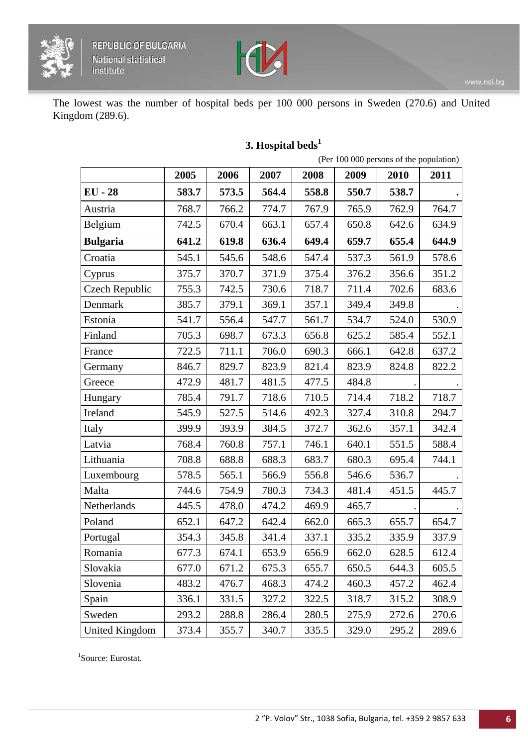



The lowest was the number of hospital beds per 100 000 persons in Sweden (270.6) and United Kingdom (289.6).

|                                           |       | (Per 100 000 persons of the population) |       |       |       |       |       |  |
|-------------------------------------------|-------|-----------------------------------------|-------|-------|-------|-------|-------|--|
|                                           | 2005  | 2006                                    | 2007  | 2008  | 2009  | 2010  | 2011  |  |
| <b>EU</b> - 28                            | 583.7 | 573.5                                   | 564.4 | 558.8 | 550.7 | 538.7 |       |  |
| Austria                                   | 768.7 | 766.2                                   | 774.7 | 767.9 | 765.9 | 762.9 | 764.7 |  |
| Belgium                                   | 742.5 | 670.4                                   | 663.1 | 657.4 | 650.8 | 642.6 | 634.9 |  |
| <b>Bulgaria</b>                           | 641.2 | 619.8                                   | 636.4 | 649.4 | 659.7 | 655.4 | 644.9 |  |
| Croatia                                   | 545.1 | 545.6                                   | 548.6 | 547.4 | 537.3 | 561.9 | 578.6 |  |
| Cyprus                                    | 375.7 | 370.7                                   | 371.9 | 375.4 | 376.2 | 356.6 | 351.2 |  |
| Czech Republic                            | 755.3 | 742.5                                   | 730.6 | 718.7 | 711.4 | 702.6 | 683.6 |  |
| Denmark                                   | 385.7 | 379.1                                   | 369.1 | 357.1 | 349.4 | 349.8 |       |  |
| Estonia                                   | 541.7 | 556.4                                   | 547.7 | 561.7 | 534.7 | 524.0 | 530.9 |  |
| Finland                                   | 705.3 | 698.7                                   | 673.3 | 656.8 | 625.2 | 585.4 | 552.1 |  |
| France                                    | 722.5 | 711.1                                   | 706.0 | 690.3 | 666.1 | 642.8 | 637.2 |  |
| Germany                                   | 846.7 | 829.7                                   | 823.9 | 821.4 | 823.9 | 824.8 | 822.2 |  |
| Greece                                    | 472.9 | 481.7                                   | 481.5 | 477.5 | 484.8 |       |       |  |
| Hungary                                   | 785.4 | 791.7                                   | 718.6 | 710.5 | 714.4 | 718.2 | 718.7 |  |
| Ireland                                   | 545.9 | 527.5                                   | 514.6 | 492.3 | 327.4 | 310.8 | 294.7 |  |
| Italy                                     | 399.9 | 393.9                                   | 384.5 | 372.7 | 362.6 | 357.1 | 342.4 |  |
| Latvia                                    | 768.4 | 760.8                                   | 757.1 | 746.1 | 640.1 | 551.5 | 588.4 |  |
| Lithuania                                 | 708.8 | 688.8                                   | 688.3 | 683.7 | 680.3 | 695.4 | 744.1 |  |
| Luxembourg                                | 578.5 | 565.1                                   | 566.9 | 556.8 | 546.6 | 536.7 |       |  |
| Malta                                     | 744.6 | 754.9                                   | 780.3 | 734.3 | 481.4 | 451.5 | 445.7 |  |
| Netherlands                               | 445.5 | 478.0                                   | 474.2 | 469.9 | 465.7 |       |       |  |
| Poland                                    | 652.1 | 647.2                                   | 642.4 | 662.0 | 665.3 | 655.7 | 654.7 |  |
| Portugal                                  | 354.3 | 345.8                                   | 341.4 | 337.1 | 335.2 | 335.9 | 337.9 |  |
| $\label{eq:normalization} \text{Romania}$ | 677.3 | 674.1                                   | 653.9 | 656.9 | 662.0 | 628.5 | 612.4 |  |
| Slovakia                                  | 677.0 | 671.2                                   | 675.3 | 655.7 | 650.5 | 644.3 | 605.5 |  |
| Slovenia                                  | 483.2 | 476.7                                   | 468.3 | 474.2 | 460.3 | 457.2 | 462.4 |  |
| Spain                                     | 336.1 | 331.5                                   | 327.2 | 322.5 | 318.7 | 315.2 | 308.9 |  |
| Sweden                                    | 293.2 | 288.8                                   | 286.4 | 280.5 | 275.9 | 272.6 | 270.6 |  |
| <b>United Kingdom</b>                     | 373.4 | 355.7                                   | 340.7 | 335.5 | 329.0 | 295.2 | 289.6 |  |

# **3. Hospital beds<sup>1</sup>**

1 Source: Eurostat.